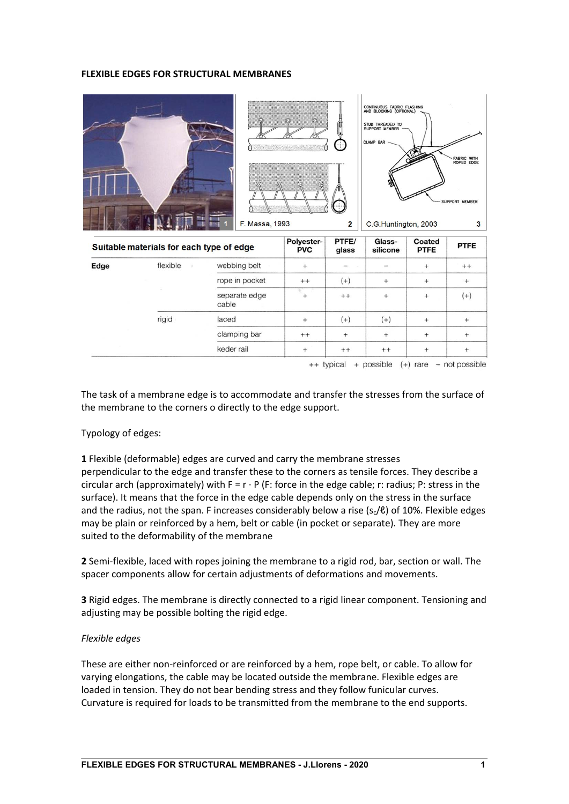## **FLEXIBLE EDGES FOR STRUCTURAL MEMBRANES**

|      |                                          |                        |                          | ÷÷             | CONTINUOUS FABRIC FLASHING<br>AND BLOCKING (OPTIONAL)<br>STUD THREADED TO<br>SUPPORT MEMBER<br><b>CLAMP BAR</b> |                       | FABRIC WITH<br>ROPED EDGE<br>SUPPORT MEMBER |
|------|------------------------------------------|------------------------|--------------------------|----------------|-----------------------------------------------------------------------------------------------------------------|-----------------------|---------------------------------------------|
|      |                                          | F. Massa, 1993         |                          |                | C.G.Huntington, 2003<br>3                                                                                       |                       |                                             |
|      |                                          |                        |                          | $\overline{2}$ |                                                                                                                 |                       |                                             |
|      | Suitable materials for each type of edge |                        | Polyester-<br><b>PVC</b> | PTFE/<br>glass | Glass-<br>silicone                                                                                              | Coated<br><b>PTFE</b> | <b>PTFE</b>                                 |
| Edge | flexible                                 | webbing belt           | $+$                      |                |                                                                                                                 | $^{+}$                | $++$                                        |
|      |                                          | rope in pocket         | $^{++}$                  | $(+)$          | $^{+}$                                                                                                          | $^{+}$                | $+$                                         |
|      |                                          | separate edge<br>cable | $^{+}$                   | $++$           | $^{+}$                                                                                                          | $+$                   | $(+)$                                       |
|      | rigid                                    | laced                  | $^{+}$                   | $(+)$          | $(+)$                                                                                                           | $^{+}$                | $^{+}$                                      |
|      |                                          | clamping bar           | $++$                     | $^{+}$         | $^{+}$                                                                                                          | $^{+}$                | $+$                                         |

The task of a membrane edge is to accommodate and transfer the stresses from the surface of the membrane to the corners o directly to the edge support.

## Typology of edges:

**1** Flexible (deformable) edges are curved and carry the membrane stresses perpendicular to the edge and transfer these to the corners as tensile forces. They describe a circular arch (approximately) with  $F = r \cdot P$  (F: force in the edge cable; r: radius; P: stress in the surface). It means that the force in the edge cable depends only on the stress in the surface and the radius, not the span. F increases considerably below a rise  $(s_c/\ell)$  of 10%. Flexible edges may be plain or reinforced by a hem, belt or cable (in pocket or separate). They are more suited to the deformability of the membrane

**2** Semi‐flexible, laced with ropes joining the membrane to a rigid rod, bar, section or wall. The spacer components allow for certain adjustments of deformations and movements.

**3** Rigid edges. The membrane is directly connected to a rigid linear component. Tensioning and adjusting may be possible bolting the rigid edge.

## *Flexible edges*

These are either non‐reinforced or are reinforced by a hem, rope belt, or cable. To allow for varying elongations, the cable may be located outside the membrane. Flexible edges are loaded in tension. They do not bear bending stress and they follow funicular curves. Curvature is required for loads to be transmitted from the membrane to the end supports.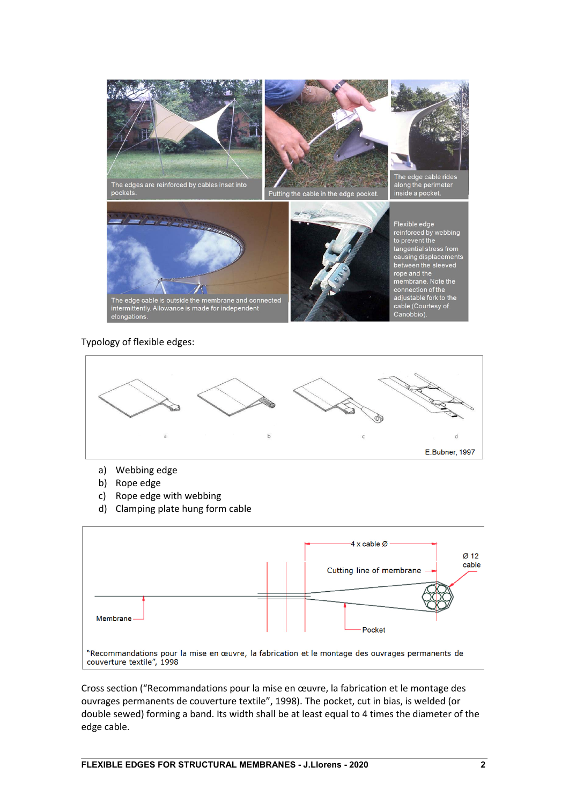

## Typology of flexible edges:



- a) Webbing edge
- b) Rope edge
- c) Rope edge with webbing
- d) Clamping plate hung form cable



Cross section ("Recommandations pour la mise en œuvre, la fabrication et le montage des ouvrages permanents de couverture textile", 1998). The pocket, cut in bias, is welded (or double sewed) forming a band. Its width shall be at least equal to 4 times the diameter of the edge cable.